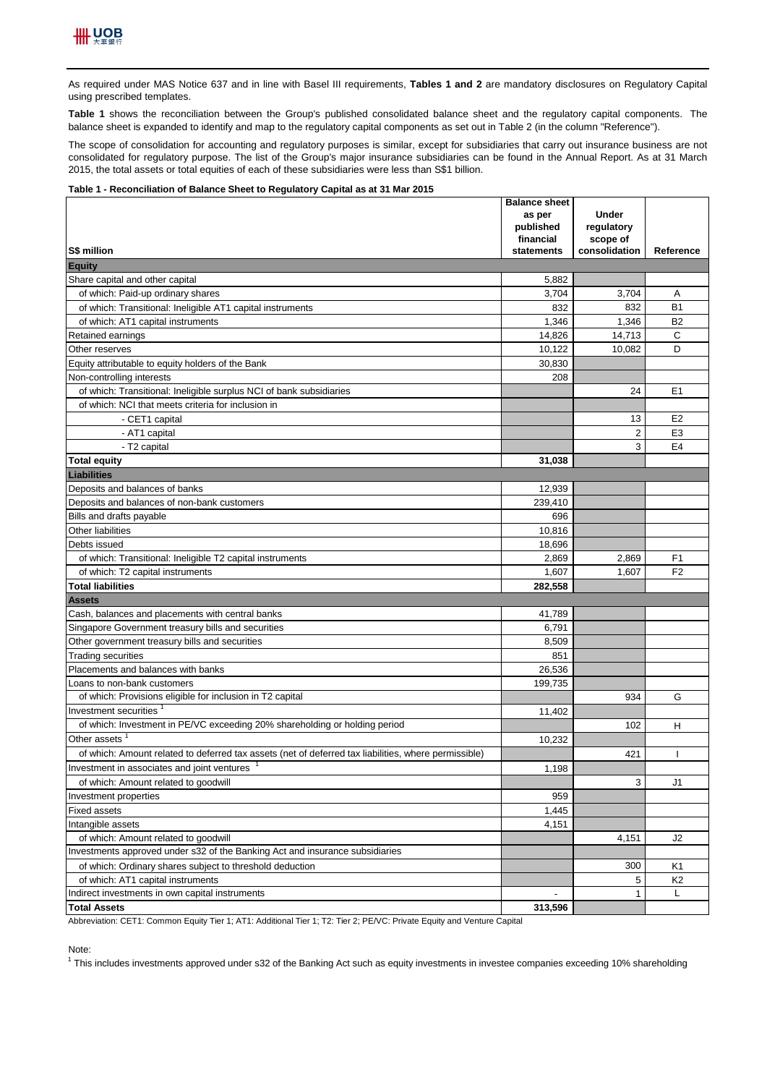

As required under MAS Notice 637 and in line with Basel III requirements, Tables 1 and 2 are mandatory disclosures on Regulatory Capital using prescribed templates.

**Table 1** shows the reconciliation between the Group's published consolidated balance sheet and the regulatory capital components. The balance sheet is expanded to identify and map to the regulatory capital components as set out in Table 2 (in the column "Reference").

The scope of consolidation for accounting and regulatory purposes is similar, except for subsidiaries that carry out insurance business are not consolidated for regulatory purpose. The list of the Group's major insurance subsidiaries can be found in the Annual Report. As at 31 March 2015, the total assets or total equities of each of these subsidiaries were less than S\$1 billion.

## **Table 1 - Reconciliation of Balance Sheet to Regulatory Capital as at 31 Mar 2015**

|                                                                                                                      | <b>Balance sheet</b><br>as per | <b>Under</b>      |                |
|----------------------------------------------------------------------------------------------------------------------|--------------------------------|-------------------|----------------|
|                                                                                                                      | published                      | regulatory        |                |
|                                                                                                                      | financial                      | scope of          |                |
| S\$ million                                                                                                          | statements                     | consolidation     | Reference      |
| <b>Equity</b>                                                                                                        |                                |                   |                |
| Share capital and other capital                                                                                      | 5,882                          |                   |                |
| of which: Paid-up ordinary shares                                                                                    | 3,704                          | 3,704             | Α              |
| of which: Transitional: Ineligible AT1 capital instruments                                                           | 832                            | 832               | <b>B1</b>      |
| of which: AT1 capital instruments                                                                                    | 1,346                          | 1,346             | <b>B2</b>      |
| Retained earnings                                                                                                    | 14,826                         | 14,713            | C              |
| Other reserves                                                                                                       | 10,122                         | 10,082            | D              |
| Equity attributable to equity holders of the Bank                                                                    | 30,830                         |                   |                |
| Non-controlling interests                                                                                            | 208                            |                   |                |
| of which: Transitional: Ineligible surplus NCI of bank subsidiaries                                                  |                                | 24                | E1             |
| of which: NCI that meets criteria for inclusion in                                                                   |                                |                   |                |
| - CET1 capital                                                                                                       |                                | 13                | E <sub>2</sub> |
| - AT1 capital                                                                                                        |                                | $\overline{2}$    | E <sub>3</sub> |
| - T2 capital                                                                                                         |                                | 3                 | E <sub>4</sub> |
| <b>Total equity</b>                                                                                                  | 31.038                         |                   |                |
| <b>Liabilities</b>                                                                                                   |                                |                   |                |
| Deposits and balances of banks                                                                                       | 12,939                         |                   |                |
| Deposits and balances of non-bank customers                                                                          | 239,410                        |                   |                |
| Bills and drafts payable                                                                                             | 696                            |                   |                |
| Other liabilities                                                                                                    | 10,816                         |                   |                |
| Debts issued                                                                                                         | 18,696                         |                   |                |
| of which: Transitional: Ineligible T2 capital instruments                                                            | 2,869                          | 2,869             | F <sub>1</sub> |
| of which: T2 capital instruments                                                                                     | 1,607                          | 1,607             | F <sub>2</sub> |
| <b>Total liabilities</b>                                                                                             | 282,558                        |                   |                |
| Assets                                                                                                               |                                |                   |                |
| Cash, balances and placements with central banks                                                                     | 41,789                         |                   |                |
| Singapore Government treasury bills and securities                                                                   | 6,791                          |                   |                |
| Other government treasury bills and securities                                                                       | 8,509                          |                   |                |
| <b>Trading securities</b>                                                                                            | 851                            |                   |                |
| Placements and balances with banks                                                                                   | 26,536<br>199,735              |                   |                |
| Loans to non-bank customers<br>of which: Provisions eligible for inclusion in T2 capital                             |                                | 934               | G              |
| Investment securities <sup>1</sup>                                                                                   |                                |                   |                |
| of which: Investment in PE/VC exceeding 20% shareholding or holding period                                           | 11,402                         |                   |                |
| Other assets                                                                                                         |                                | 102               | н              |
| of which: Amount related to deferred tax assets (net of deferred tax liabilities, where permissible)                 | 10,232                         | 421               |                |
| Investment in associates and joint ventures                                                                          |                                |                   |                |
|                                                                                                                      | 1,198                          |                   |                |
| of which: Amount related to goodwill                                                                                 |                                | 3                 | J1             |
| Investment properties                                                                                                | 959                            |                   |                |
| <b>Fixed assets</b><br>Intangible assets                                                                             | 1,445                          |                   |                |
|                                                                                                                      | 4,151                          |                   |                |
| of which: Amount related to goodwill<br>Investments approved under s32 of the Banking Act and insurance subsidiaries |                                | 4,151             | J2             |
| of which: Ordinary shares subject to threshold deduction                                                             |                                |                   |                |
| of which: AT1 capital instruments                                                                                    |                                | 300               | K1             |
| Indirect investments in own capital instruments                                                                      |                                | 5<br>$\mathbf{1}$ | K2<br>Г        |
| <b>Total Assets</b>                                                                                                  | 313,596                        |                   |                |

Abbreviation: CET1: Common Equity Tier 1; AT1: Additional Tier 1; T2: Tier 2; PE/VC: Private Equity and Venture Capital

Note:

<sup>1</sup> This includes investments approved under s32 of the Banking Act such as equity investments in investee companies exceeding 10% shareholding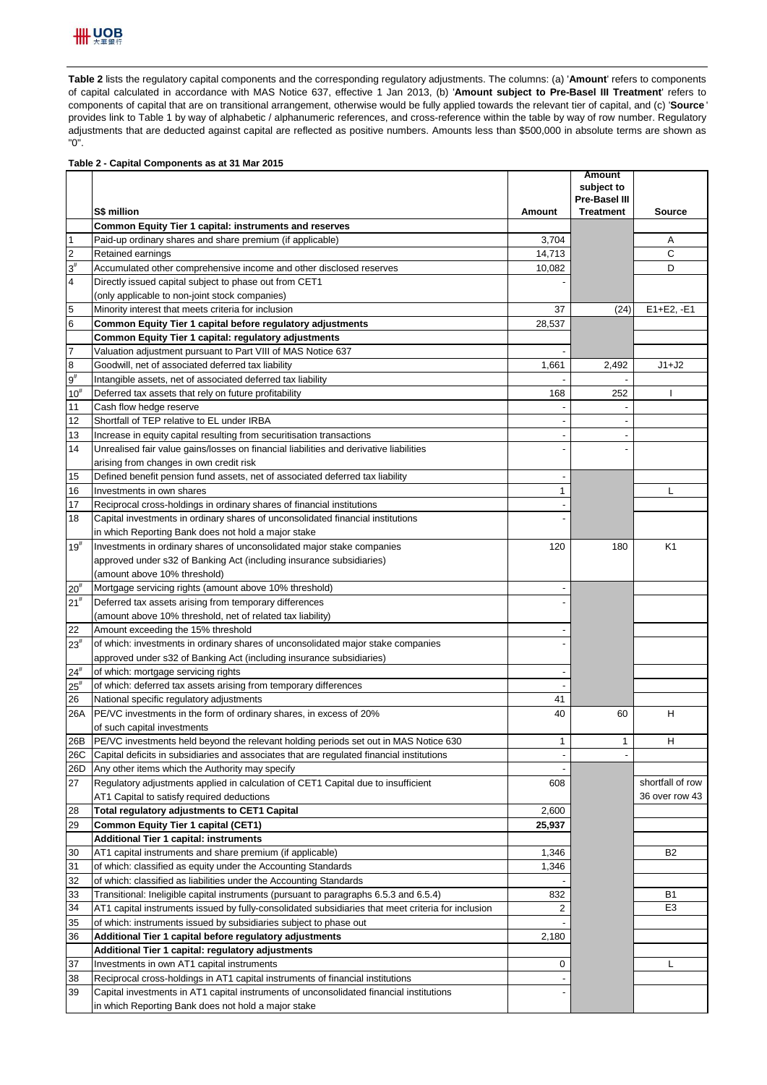

Table 2 lists the regulatory capital components and the corresponding regulatory adjustments. The columns: (a) 'Amount' refers to components of capital calculated in accordance with MAS Notice 637, effective 1 Jan 2013, (b) '**Amount subject to Pre-Basel III Treatment**' refers to components of capital that are on transitional arrangement, otherwise would be fully applied towards the relevant tier of capital, and (c) '**Source** ' provides link to Table 1 by way of alphabetic / alphanumeric references, and cross-reference within the table by way of row number. Regulatory adjustments that are deducted against capital are reflected as positive numbers. Amounts less than \$500,000 in absolute terms are shown as "0".

## **Table 2 - Capital Components as at 31 Mar 2015**

|                   |                                                                                                    |                | Amount<br>subject to     |                  |
|-------------------|----------------------------------------------------------------------------------------------------|----------------|--------------------------|------------------|
|                   |                                                                                                    |                | <b>Pre-Basel III</b>     |                  |
|                   | S\$ million                                                                                        | Amount         | <b>Treatment</b>         | <b>Source</b>    |
|                   | Common Equity Tier 1 capital: instruments and reserves                                             |                |                          |                  |
| $\mathbf{1}$      | Paid-up ordinary shares and share premium (if applicable)                                          | 3,704          |                          | Α                |
| $\overline{c}$    | Retained earnings                                                                                  | 14,713         |                          | C                |
| $3^{\sharp}$      | Accumulated other comprehensive income and other disclosed reserves                                | 10,082         |                          | D                |
| 4                 | Directly issued capital subject to phase out from CET1                                             |                |                          |                  |
|                   | (only applicable to non-joint stock companies)                                                     |                |                          |                  |
| 5                 | Minority interest that meets criteria for inclusion                                                | 37             | (24)                     | E1+E2, -E1       |
| 6                 | Common Equity Tier 1 capital before regulatory adjustments                                         | 28,537         |                          |                  |
|                   | Common Equity Tier 1 capital: regulatory adjustments                                               |                |                          |                  |
| $\overline{7}$    | Valuation adjustment pursuant to Part VIII of MAS Notice 637                                       |                |                          |                  |
| 8                 | Goodwill, net of associated deferred tax liability                                                 | 1,661          | 2,492                    | $J1+J2$          |
| $9^{\rm #}$       | Intangible assets, net of associated deferred tax liability                                        |                |                          |                  |
| $10^{\texttt{#}}$ | Deferred tax assets that rely on future profitability                                              | 168            | 252                      | T                |
| 11                | Cash flow hedge reserve                                                                            |                |                          |                  |
| 12                | Shortfall of TEP relative to EL under IRBA                                                         |                |                          |                  |
| 13                | Increase in equity capital resulting from securitisation transactions                              |                |                          |                  |
| 14                | Unrealised fair value gains/losses on financial liabilities and derivative liabilities             |                |                          |                  |
|                   | arising from changes in own credit risk                                                            |                |                          |                  |
| 15                | Defined benefit pension fund assets, net of associated deferred tax liability                      |                |                          |                  |
| 16                | Investments in own shares                                                                          | 1              |                          | L                |
| 17                | Reciprocal cross-holdings in ordinary shares of financial institutions                             |                |                          |                  |
| 18                | Capital investments in ordinary shares of unconsolidated financial institutions                    |                |                          |                  |
|                   | in which Reporting Bank does not hold a major stake                                                |                |                          |                  |
| $19^{#}$          | Investments in ordinary shares of unconsolidated major stake companies                             | 120            | 180                      | K <sub>1</sub>   |
|                   | approved under s32 of Banking Act (including insurance subsidiaries)                               |                |                          |                  |
|                   | (amount above 10% threshold)                                                                       |                |                          |                  |
| $20^{#}$          | Mortgage servicing rights (amount above 10% threshold)                                             |                |                          |                  |
| 21 <sup>#</sup>   | Deferred tax assets arising from temporary differences                                             |                |                          |                  |
|                   | (amount above 10% threshold, net of related tax liability)                                         |                |                          |                  |
| 22                | Amount exceeding the 15% threshold                                                                 |                |                          |                  |
| $23^{#}$          | of which: investments in ordinary shares of unconsolidated major stake companies                   |                |                          |                  |
|                   | approved under s32 of Banking Act (including insurance subsidiaries)                               |                |                          |                  |
| $24^{\rm \#}$     | of which: mortgage servicing rights                                                                |                |                          |                  |
| $25^{\rm \#}$     | of which: deferred tax assets arising from temporary differences                                   |                |                          |                  |
| 26                | National specific regulatory adjustments                                                           | 41             |                          |                  |
| 26A               | PE/VC investments in the form of ordinary shares, in excess of 20%                                 | 40             | 60                       | H                |
|                   | of such capital investments                                                                        |                |                          |                  |
| 26B               | PE/VC investments held beyond the relevant holding periods set out in MAS Notice 630               | $\mathbf{1}$   | 1                        | H                |
| 26C               | Capital deficits in subsidiaries and associates that are regulated financial institutions          | $\overline{a}$ | $\overline{\phantom{a}}$ |                  |
| 26D               | Any other items which the Authority may specify                                                    |                |                          |                  |
| 27                | Regulatory adjustments applied in calculation of CET1 Capital due to insufficient                  | 608            |                          | shortfall of row |
|                   | AT1 Capital to satisfy required deductions                                                         |                |                          | 36 over row 43   |
| 28                | Total regulatory adjustments to CET1 Capital                                                       | 2.600          |                          |                  |
| 29                | Common Equity Tier 1 capital (CET1)                                                                | 25,937         |                          |                  |
|                   | Additional Tier 1 capital: instruments                                                             |                |                          |                  |
| 30                | AT1 capital instruments and share premium (if applicable)                                          | 1,346          |                          | B <sub>2</sub>   |
| 31                | of which: classified as equity under the Accounting Standards                                      | 1,346          |                          |                  |
| 32                | of which: classified as liabilities under the Accounting Standards                                 |                |                          |                  |
| 33                | Transitional: Ineligible capital instruments (pursuant to paragraphs 6.5.3 and 6.5.4)              | 832            |                          | B1               |
| 34                | AT1 capital instruments issued by fully-consolidated subsidiaries that meet criteria for inclusion | 2              |                          | E <sub>3</sub>   |
| 35                | of which: instruments issued by subsidiaries subject to phase out                                  |                |                          |                  |
| 36                | Additional Tier 1 capital before regulatory adjustments                                            | 2,180          |                          |                  |
|                   | Additional Tier 1 capital: regulatory adjustments                                                  |                |                          |                  |
| 37                | Investments in own AT1 capital instruments                                                         | 0              |                          | L                |
| 38                | Reciprocal cross-holdings in AT1 capital instruments of financial institutions                     |                |                          |                  |
| 39                | Capital investments in AT1 capital instruments of unconsolidated financial institutions            |                |                          |                  |
|                   | in which Reporting Bank does not hold a major stake                                                |                |                          |                  |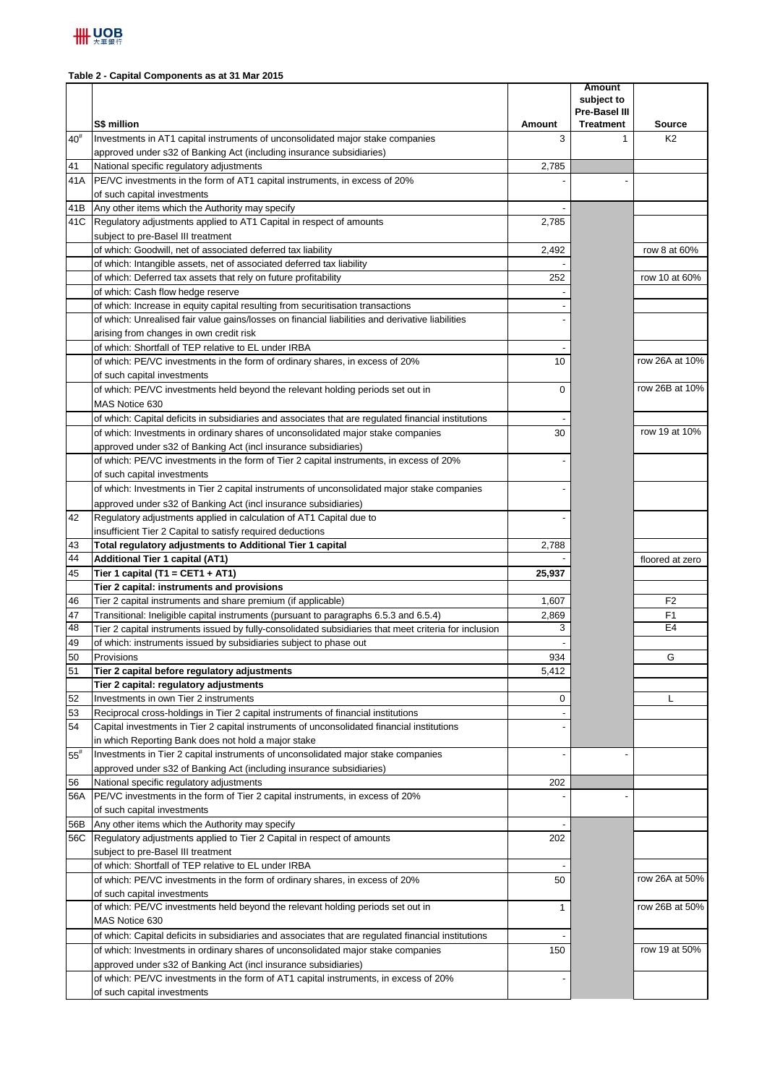## **Table 2 - Capital Components as at 31 Mar 2015**

|                   | S\$ million                                                                                                                                               | Amount       | Amount<br>subject to<br>Pre-Basel III<br><b>Treatment</b> | <b>Source</b>   |
|-------------------|-----------------------------------------------------------------------------------------------------------------------------------------------------------|--------------|-----------------------------------------------------------|-----------------|
| $40^{\texttt{#}}$ | Investments in AT1 capital instruments of unconsolidated major stake companies                                                                            | 3            | 1                                                         | K <sub>2</sub>  |
|                   | approved under s32 of Banking Act (including insurance subsidiaries)                                                                                      |              |                                                           |                 |
| 41                | National specific regulatory adjustments                                                                                                                  | 2.785        |                                                           |                 |
| 41A               | PE/VC investments in the form of AT1 capital instruments, in excess of 20%                                                                                |              |                                                           |                 |
|                   | of such capital investments                                                                                                                               |              |                                                           |                 |
| 41B               | Any other items which the Authority may specify                                                                                                           |              |                                                           |                 |
|                   | 41C Regulatory adjustments applied to AT1 Capital in respect of amounts                                                                                   | 2,785        |                                                           |                 |
|                   | subject to pre-Basel III treatment                                                                                                                        |              |                                                           |                 |
|                   | of which: Goodwill, net of associated deferred tax liability                                                                                              | 2,492        |                                                           | row 8 at 60%    |
|                   | of which: Intangible assets, net of associated deferred tax liability                                                                                     |              |                                                           |                 |
|                   | of which: Deferred tax assets that rely on future profitability                                                                                           | 252          |                                                           | row 10 at 60%   |
|                   | of which: Cash flow hedge reserve                                                                                                                         |              |                                                           |                 |
|                   | of which: Increase in equity capital resulting from securitisation transactions                                                                           |              |                                                           |                 |
|                   | of which: Unrealised fair value gains/losses on financial liabilities and derivative liabilities                                                          |              |                                                           |                 |
|                   | arising from changes in own credit risk<br>of which: Shortfall of TEP relative to EL under IRBA                                                           |              |                                                           |                 |
|                   | of which: PE/VC investments in the form of ordinary shares, in excess of 20%                                                                              | 10           |                                                           | row 26A at 10%  |
|                   | of such capital investments                                                                                                                               |              |                                                           |                 |
|                   | of which: PE/VC investments held beyond the relevant holding periods set out in                                                                           | 0            |                                                           | row 26B at 10%  |
|                   | MAS Notice 630                                                                                                                                            |              |                                                           |                 |
|                   | of which: Capital deficits in subsidiaries and associates that are regulated financial institutions                                                       |              |                                                           |                 |
|                   | of which: Investments in ordinary shares of unconsolidated major stake companies                                                                          | 30           |                                                           | row 19 at 10%   |
|                   | approved under s32 of Banking Act (incl insurance subsidiaries)                                                                                           |              |                                                           |                 |
|                   | of which: PE/VC investments in the form of Tier 2 capital instruments, in excess of 20%                                                                   |              |                                                           |                 |
|                   | of such capital investments                                                                                                                               |              |                                                           |                 |
|                   | of which: Investments in Tier 2 capital instruments of unconsolidated major stake companies                                                               |              |                                                           |                 |
|                   | approved under s32 of Banking Act (incl insurance subsidiaries)                                                                                           |              |                                                           |                 |
| 42                | Regulatory adjustments applied in calculation of AT1 Capital due to                                                                                       |              |                                                           |                 |
|                   | insufficient Tier 2 Capital to satisfy required deductions                                                                                                |              |                                                           |                 |
| 43                | Total regulatory adjustments to Additional Tier 1 capital                                                                                                 | 2,788        |                                                           |                 |
| 44                | <b>Additional Tier 1 capital (AT1)</b>                                                                                                                    |              |                                                           | floored at zero |
| 45                | Tier 1 capital (T1 = CET1 + AT1)                                                                                                                          | 25,937       |                                                           |                 |
|                   | Tier 2 capital: instruments and provisions                                                                                                                |              |                                                           |                 |
| 46                | Tier 2 capital instruments and share premium (if applicable)                                                                                              | 1,607        |                                                           | F <sub>2</sub>  |
| 47                | Transitional: Ineligible capital instruments (pursuant to paragraphs 6.5.3 and 6.5.4)                                                                     | 2,869        |                                                           | F <sub>1</sub>  |
| 48                | Tier 2 capital instruments issued by fully-consolidated subsidiaries that meet criteria for inclusion                                                     | 3            |                                                           | E <sub>4</sub>  |
| 49                | of which: instruments issued by subsidiaries subject to phase out                                                                                         |              |                                                           |                 |
| 50                | Provisions                                                                                                                                                | 934          |                                                           | G               |
| 51                | Tier 2 capital before regulatory adjustments                                                                                                              | 5,412        |                                                           |                 |
|                   | Tier 2 capital: regulatory adjustments                                                                                                                    |              |                                                           |                 |
| 52                | Investments in own Tier 2 instruments                                                                                                                     | 0            |                                                           | L               |
| 53                | Reciprocal cross-holdings in Tier 2 capital instruments of financial institutions                                                                         |              |                                                           |                 |
| 54                | Capital investments in Tier 2 capital instruments of unconsolidated financial institutions                                                                |              |                                                           |                 |
|                   | in which Reporting Bank does not hold a major stake                                                                                                       |              |                                                           |                 |
| $55^{\rm \#}$     | Investments in Tier 2 capital instruments of unconsolidated major stake companies<br>approved under s32 of Banking Act (including insurance subsidiaries) |              |                                                           |                 |
|                   |                                                                                                                                                           |              |                                                           |                 |
| 56                | National specific regulatory adjustments<br>PE/VC investments in the form of Tier 2 capital instruments, in excess of 20%                                 | 202          |                                                           |                 |
| 56A               | of such capital investments                                                                                                                               |              |                                                           |                 |
| 56B               | Any other items which the Authority may specify                                                                                                           |              |                                                           |                 |
|                   | 56C Regulatory adjustments applied to Tier 2 Capital in respect of amounts                                                                                | 202          |                                                           |                 |
|                   | subject to pre-Basel III treatment                                                                                                                        |              |                                                           |                 |
|                   | of which: Shortfall of TEP relative to EL under IRBA                                                                                                      |              |                                                           |                 |
|                   | of which: PE/VC investments in the form of ordinary shares, in excess of 20%                                                                              | 50           |                                                           | row 26A at 50%  |
|                   | of such capital investments                                                                                                                               |              |                                                           |                 |
|                   | of which: PE/VC investments held beyond the relevant holding periods set out in                                                                           | $\mathbf{1}$ |                                                           | row 26B at 50%  |
|                   | MAS Notice 630                                                                                                                                            |              |                                                           |                 |
|                   | of which: Capital deficits in subsidiaries and associates that are regulated financial institutions                                                       |              |                                                           |                 |
|                   | of which: Investments in ordinary shares of unconsolidated major stake companies                                                                          | 150          |                                                           | row 19 at 50%   |
|                   | approved under s32 of Banking Act (incl insurance subsidiaries)                                                                                           |              |                                                           |                 |
|                   | of which: PE/VC investments in the form of AT1 capital instruments, in excess of 20%                                                                      |              |                                                           |                 |
|                   | of such capital investments                                                                                                                               |              |                                                           |                 |